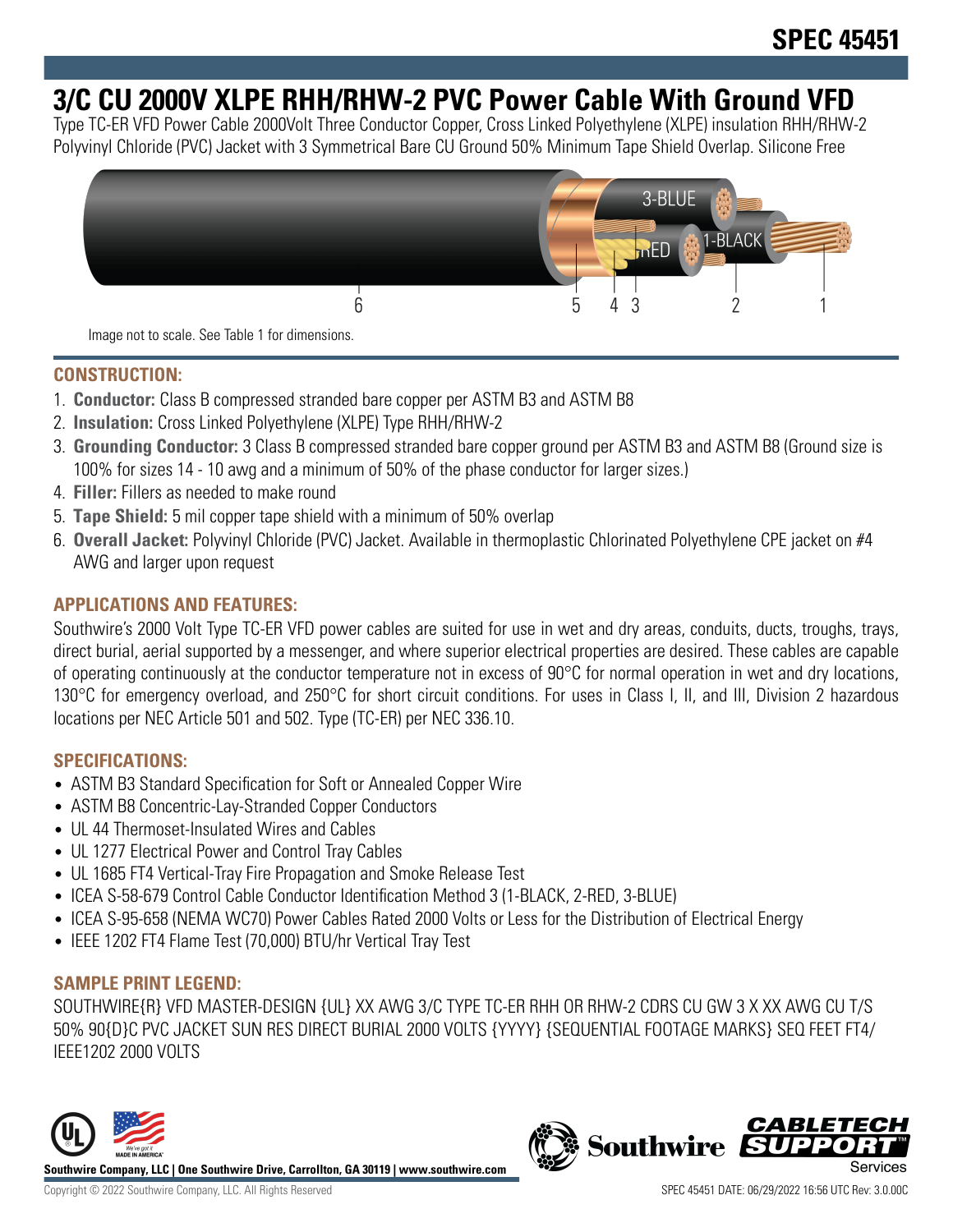## **3/C CU 2000V XLPE RHH/RHW-2 PVC Power Cable With Ground VFD**

Type TC-ER VFD Power Cable 2000Volt Three Conductor Copper, Cross Linked Polyethylene (XLPE) insulation RHH/RHW-2 Polyvinyl Chloride (PVC) Jacket with 3 Symmetrical Bare CU Ground 50% Minimum Tape Shield Overlap. Silicone Free



Image not to scale. See Table 1 for dimensions.

## **CONSTRUCTION:**

- 1. **Conductor:** Class B compressed stranded bare copper per ASTM B3 and ASTM B8
- 2. **Insulation:** Cross Linked Polyethylene (XLPE) Type RHH/RHW-2
- 3. **Grounding Conductor:** 3 Class B compressed stranded bare copper ground per ASTM B3 and ASTM B8 (Ground size is 100% for sizes 14 - 10 awg and a minimum of 50% of the phase conductor for larger sizes.)
- 4. **Filler:** Fillers as needed to make round
- 5. **Tape Shield:** 5 mil copper tape shield with a minimum of 50% overlap
- 6. **Overall Jacket:** Polyvinyl Chloride (PVC) Jacket. Available in thermoplastic Chlorinated Polyethylene CPE jacket on #4 AWG and larger upon request

## **APPLICATIONS AND FEATURES:**

Southwire's 2000 Volt Type TC-ER VFD power cables are suited for use in wet and dry areas, conduits, ducts, troughs, trays, direct burial, aerial supported by a messenger, and where superior electrical properties are desired. These cables are capable of operating continuously at the conductor temperature not in excess of 90°C for normal operation in wet and dry locations, 130°C for emergency overload, and 250°C for short circuit conditions. For uses in Class I, II, and III, Division 2 hazardous locations per NEC Article 501 and 502. Type (TC-ER) per NEC 336.10.

## **SPECIFICATIONS:**

- ASTM B3 Standard Specification for Soft or Annealed Copper Wire
- ASTM B8 Concentric-Lay-Stranded Copper Conductors
- UL 44 Thermoset-Insulated Wires and Cables
- UL 1277 Electrical Power and Control Tray Cables
- UL 1685 FT4 Vertical-Tray Fire Propagation and Smoke Release Test
- ICEA S-58-679 Control Cable Conductor Identification Method 3 (1-BLACK, 2-RED, 3-BLUE)
- ICEA S-95-658 (NEMA WC70) Power Cables Rated 2000 Volts or Less for the Distribution of Electrical Energy
- IEEE 1202 FT4 Flame Test (70,000) BTU/hr Vertical Tray Test

#### **SAMPLE PRINT LEGEND:**

SOUTHWIRE{R} VFD MASTER-DESIGN {UL} XX AWG 3/C TYPE TC-ER RHH OR RHW-2 CDRS CU GW 3 X XX AWG CU T/S 50% 90{D}C PVC JACKET SUN RES DIRECT BURIAL 2000 VOLTS {YYYY} {SEQUENTIAL FOOTAGE MARKS} SEQ FEET FT4/ IEEE1202 2000 VOLTS



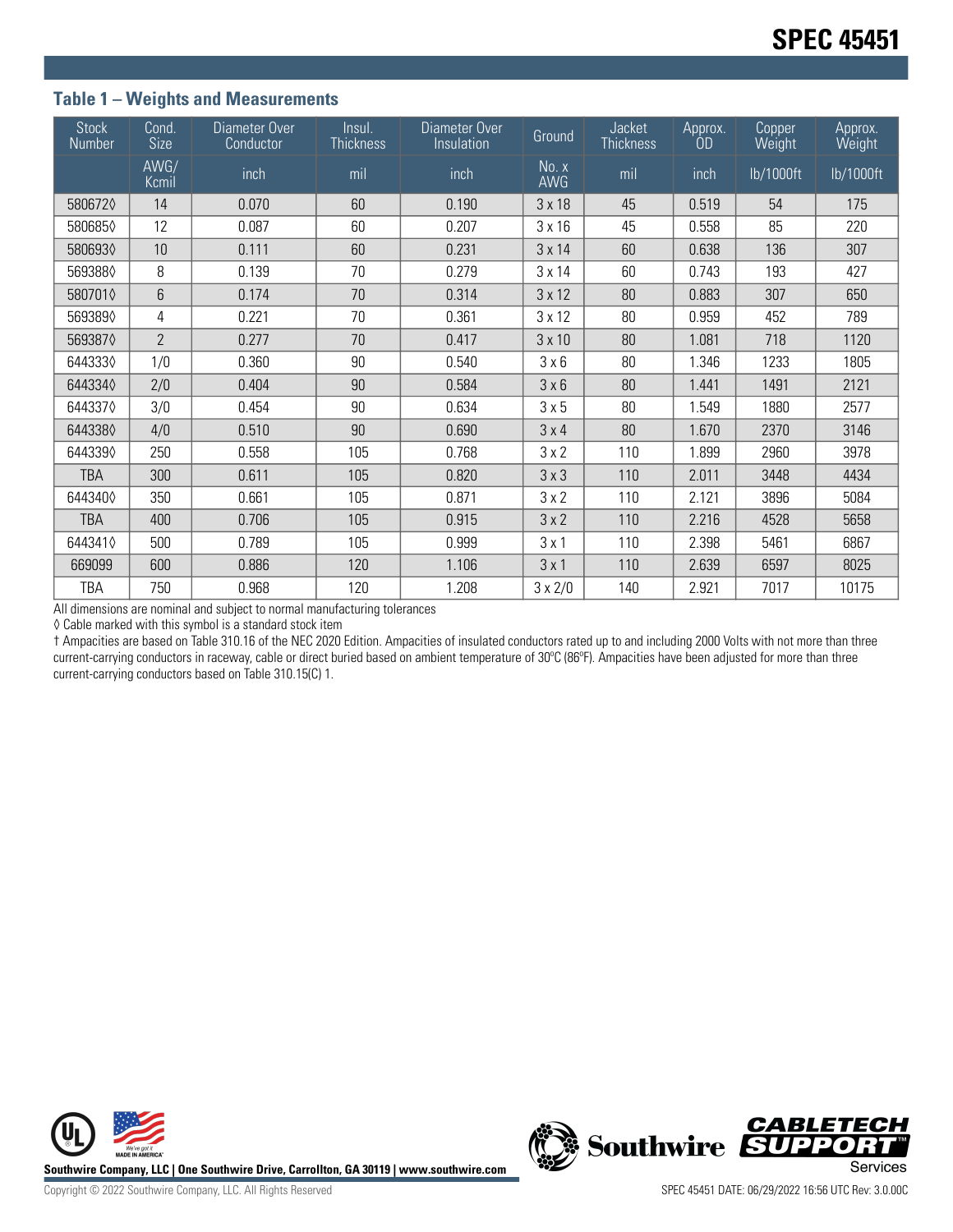## **Table 1 – Weights and Measurements**

| <b>Stock</b><br>Number | Cond.<br><b>Size</b> | Diameter Over<br>Conductor | Insul.<br><b>Thickness</b> | Diameter Over<br>Insulation | Ground              | Jacket<br><b>Thickness</b> | Approx.<br><b>OD</b> | Copper<br>Weight | Approx.<br>Weight |
|------------------------|----------------------|----------------------------|----------------------------|-----------------------------|---------------------|----------------------------|----------------------|------------------|-------------------|
|                        | AWG/<br>Kcmil        | inch                       | mil                        | inch                        | No. x<br><b>AWG</b> | mil                        | inch                 | lb/1000ft        | lb/1000ft         |
| 5806720                | 14                   | 0.070                      | 60                         | 0.190                       | $3 \times 18$       | 45                         | 0.519                | 54               | 175               |
| 5806850                | 12                   | 0.087                      | 60                         | 0.207                       | $3 \times 16$       | 45                         | 0.558                | 85               | 220               |
| 5806930                | 10                   | 0.111                      | 60                         | 0.231                       | $3 \times 14$       | 60                         | 0.638                | 136              | 307               |
| 5693880                | 8                    | 0.139                      | 70                         | 0.279                       | $3 \times 14$       | 60                         | 0.743                | 193              | 427               |
| 5807010                | 6                    | 0.174                      | 70                         | 0.314                       | $3 \times 12$       | 80                         | 0.883                | 307              | 650               |
| 5693890                | 4                    | 0.221                      | 70                         | 0.361                       | $3 \times 12$       | 80                         | 0.959                | 452              | 789               |
| 5693870                | $\overline{2}$       | 0.277                      | 70                         | 0.417                       | $3 \times 10$       | 80                         | 1.081                | 718              | 1120              |
| 6443330                | 1/0                  | 0.360                      | 90                         | 0.540                       | 3 × 6               | 80                         | 1.346                | 1233             | 1805              |
| 6443340                | 2/0                  | 0.404                      | 90                         | 0.584                       | 3 × 6               | 80                         | 1.441                | 1491             | 2121              |
| 6443370                | 3/0                  | 0.454                      | 90                         | 0.634                       | 3 × 5               | 80                         | 1.549                | 1880             | 2577              |
| 6443380                | 4/0                  | 0.510                      | 90                         | 0.690                       | 3x4                 | 80                         | 1.670                | 2370             | 3146              |
| 6443390                | 250                  | 0.558                      | 105                        | 0.768                       | 3x2                 | 110                        | 1.899                | 2960             | 3978              |
| <b>TBA</b>             | 300                  | 0.611                      | 105                        | 0.820                       | 3x3                 | 110                        | 2.011                | 3448             | 4434              |
| 6443400                | 350                  | 0.661                      | 105                        | 0.871                       | 3x2                 | 110                        | 2.121                | 3896             | 5084              |
| TBA                    | 400                  | 0.706                      | 105                        | 0.915                       | 3x2                 | 110                        | 2.216                | 4528             | 5658              |
| 6443410                | 500                  | 0.789                      | 105                        | 0.999                       | 3x1                 | 110                        | 2.398                | 5461             | 6867              |
| 669099                 | 600                  | 0.886                      | 120                        | 1.106                       | 3x1                 | 110                        | 2.639                | 6597             | 8025              |
| TBA                    | 750                  | 0.968                      | 120                        | 1.208                       | $3 \times 2/0$      | 140                        | 2.921                | 7017             | 10175             |

All dimensions are nominal and subject to normal manufacturing tolerances

◊ Cable marked with this symbol is a standard stock item

† Ampacities are based on Table 310.16 of the NEC 2020 Edition. Ampacities of insulated conductors rated up to and including 2000 Volts with not more than three current-carrying conductors in raceway, cable or direct buried based on ambient temperature of 30ºC (86ºF). Ampacities have been adjusted for more than three current-carrying conductors based on Table 310.15(C) 1.